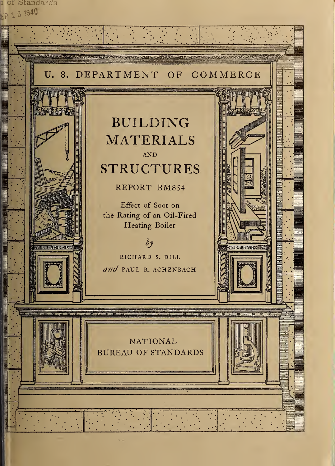<sup>1</sup> or btandards EP 1 6 1940

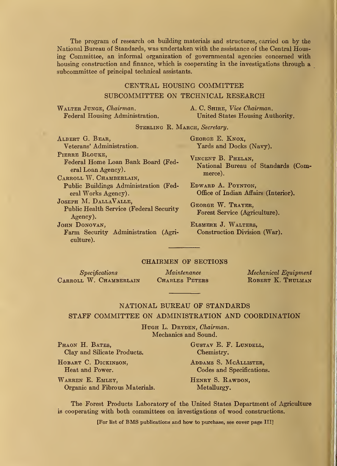The program of research on building materials and structures, carried on by the National Bureau of Standards, was undertaken with the assistance of the Central Housing Committee, an informal organization of governmental agencies concerned with housing construction and finance, which is cooperating in the investigations through a subcommittee of principal technical assistants.

#### CENTRAL HOUSING COMMITTEE

#### SUBCOMMITTEE ON TECHNICAL RESEARCH

Walter Junge, Chairman. Federal Housing Administration. A. C. SHIRE, Vice Chairman. United States Housing Authority.

STERLING R. MARCH, Secretary.

Albert G. Bear, Veterans' Administration. PIERRE BLOUKE.

Federal Home Loan Bank Board (Federal Loan Agency).

CARROLL W. CHAMBERLAIN, Public Buildings Administration (Federal Works Agency)

Joseph M. DallaValle, Public Health Service (Federal Security Agency).

JOHN DONOVAN, Farm Security Administration (Agriculture).

George E. Knox, Yards and Docks (Navy).

Vincent B. Phelan, National Bureau of Standards (Commerce).

Edward A. Poynton, Office of Indian Affairs (Interior).

George W. Trayer, Forest Service (Agriculture).

Elsmere J. Walters, Construction Division (War).

#### CHAIRMEN OF SECTIONS

 $Specifications$  Maintenance Mechanical Equipment Carroll W. Chamberlain Charles Peters Robert K. Thulman

#### NATIONAL BUREAU OF STANDARDS

#### STAFF COMMITTEE ON ADMINISTRATION AND COORDINATION

HUGH L. DRYDEN, Chairman. Mechanics and Sound.

PHAON H. BATES, GUSTAV E. F. LUNDELL, Clay and Silicate Products. Chemistry.

WARREN E. EMLEY, HENRY S. RAWDON, Organic and Fibrous Materials. Metallurgy.

HOBART C. DICKINSON, ADDAMS S. MCALLISTER, Heat and Power. Codes and Specifications.

The Forest Products Laboratory of the United States Department of Agriculture is cooperating with both committees on investigations of wood constructions.

[For list of BMS publications and how to purchase, see cover page III]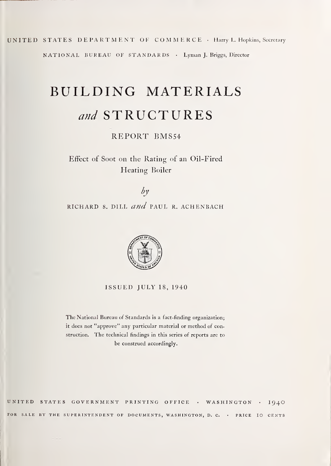UNITED STATES DEPARTMENT OE COMMERCE • Harry L. Hopkins, Secretary NATIONAL BUREAU OF STANDARDS • Lyman J. Briggs, Director

# BUILDING MATERIALS and STRUCTURES

#### REPORT BMS54

Effect of Soot on the Rating of an Oil-Fired Heating Boiler

 $\partial y$ RICHARD S. DILL  $and$  PAUL R. ACHENBACH



ISSUED JULY 18, 1940

The National Bureau of Standards is a fact-finding organization; it does not "approve" any particular material or method of construction. The technical findings in this series of reports are to be construed accordingly.

UNITED STATES GOVERNMENT PRINTING OFFICE • WASHINGTON 1940 FOR SALE BY THE SUPERINTENDENT OF DOCUMENTS, WASHINGTON, D. C. . PRICE IO CENTS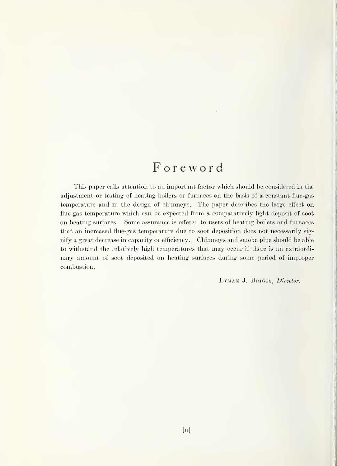## Foreword

This paper calls attention to an important factor which should be considered in the adjustment or testing of heating boilers or furnaces on the basis of a constant flue-gas temperature and in the design of chimneys. The paper describes the large effect on flue-gas temperature which can be expected from a comparatively light deposit of soot on heating surfaces. Some assurance is offered to users of heating boilers and furnaces that an increased flue-gas temperature due to soot deposition does not necessarily signify a great decrease in capacity or efficiency. Chimneys and smoke pipe should be able to withstand the relatively high temperatures that may occur if there is an extraordinary amount of soot deposited on heating surfaces during some period of improper combustion.

LYMAN J. BRIGGS, Director.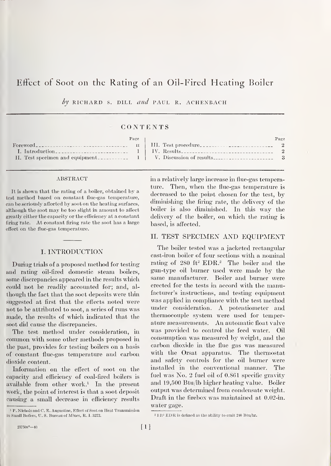### Effect of Soot on the Rating of an Oil-Fired Heating Boiler

by RICHARD S. DILL and PAUL R. ACHENBACH

#### CONTENTS

|                                  | Page |  |
|----------------------------------|------|--|
|                                  |      |  |
| I. Introduction                  |      |  |
| II. Test specimen and equipment. |      |  |

#### ABSTRACT

It is shown that the rating of a boiler, obtained by a test method based on constant flue-gas temperature, can be seriously affected by soot on the heating surfaces, although the soot may be too slight in amount to affect greatly either the capacity or the efficiency at a constant firing rate. At constant firing rate the soot has a large effect on the flue-gas temperature.

#### I. INTRODUCTION

During trials of a proposed method for testing and rating oil-fired domestic steam boilers, some discrepancies appeared in the results which could not be readily accounted for; and, al though the fact that the soot deposits were tliin suggested at first that the effects noted were not to be attributed to soot, a series of runs was made, the results of which indicated that the soot did cause the discrepancies.

The test method under consideration, in common with some other methods proposed in the past, provides for testing boilers on a basis of constant flue-gas temperature and carbon dioxide content.

Information on the effect of soot on the capacity and efficiency of coal-fired boilers is available from other work.<sup>1</sup> In the present work, the point of interest is that a soot deposit causing a small decrease in efficiency results

| V. Discussion of results <sub>--------------------</sub> 3 |  |
|------------------------------------------------------------|--|
|                                                            |  |
|                                                            |  |

Page

in a relatively large increase in flue-gas temperature. Then, when the flue-gas temperature is decreased to the point chosen for the test, by diminishing the firing rate, the delivery of the boiler is also diminisbed. In this way the delivery of the boiler, on which the rating is based, is affected.

#### II. TEST SPECIMEN AND EQUIPMENT

The boiler tested was a jacketed rectangular cast-iron boiler of four sections with a nominal rating of  $280$  ft<sup>2</sup> EDR.<sup>2</sup> The boiler and the gun-type oil burner used were made by the same manufacturer. Boiler and burner were erected for the tests in accord with the manufacturer's instructions, and testing equipment was applied in compliance with the test method under consideration. A potentiometer and thermocouple system were used for temperature measurements. An. automatic float valve was provided to control the feed water. Oil consumption was measured by weigbt, and the carbon dioxide in the flue gas was measured with the Orsat apparatus. The thermostat and safety controls for the oil burner were installed in the conventional manner. The fuel was No. 2 fuel oil of 0.861 specific gravity and 19,500 Btu/lb higher heating value. Boiler output was determined from condensate weight. Draft in the firebox was maintained at 0.02-in. water gage.

<sup>&#</sup>x27; p. Nichols and C. E. Augustine, Effect of Soot on Heat Transmission in Small Boilers, U. S. Bureau of Mines, R. I. 3272.

<sup>2</sup> <sup>1</sup> ft2 EDR is defined as the ability to emit 2-10 Btu/hr.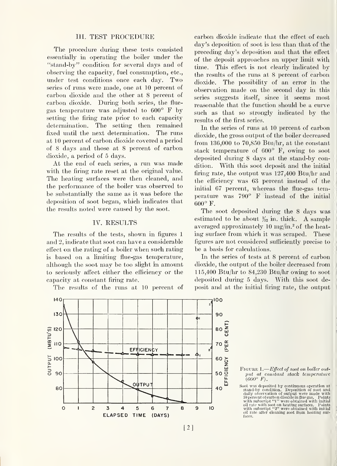#### III. TEST PROCEDURE

The procedure during these tests consisted essentially in operating the boiler under the "stand-by" condition for several days and of observing the capacity, fuel consumption, etc., under test conditions once each day. Two series of runs were made, one at 10 percent of carbon dioxide and the other at 8 percent of carbon dioxide. During both series, the flue gas temperature was adjusted to 600° F by setting the firing rate prior to each capacity determination. The setting then remained fixed mitil the next determination. The runs at 10 percent of carbon dioxide covered a period of 8 days and those at 8 percent of carbon dioxide, a period of 5 days.

At the end of each series, a run was made with the firing rate reset at the original value. The heating surfaces were then cleaned, and the performance of the boiler was observed to be substantially the same as it was before the deposition of soot began, which indicates that the results noted were caused by the soot.

#### IV. RESULTS

The results of the tests, shown in figures <sup>1</sup> and 2, indicate that soot can have a considerable effect on the rating of a boiler when such rating is based on a limiting flue-gas temperature, although the soot may be too slight in amount to seriously aftect either the efficiency or the capacity at constant firing rate.

The results of the runs at 10 percent of



carbon dioxide indicate that the effect of each day's deposition of soot is less than that of the preceding day's deposition and that the effect of the deposit approaches an upper limit with time. This effect is not clearly indicated by the results of the runs at 8 percent of carbon dioxide. The possibility of an error in the observation made on the second day in this series suggests itself, since it seems most reasonable that the function should be a curve such as that so strongly indicated by the results of the first series.

In the series of runs at 10 percent of carbon dioxide, the gross output of the boiler decreased from 136,000 to 70,850 Btu/hr, at the constant stack temperature of 600° F, owing to soot deposited during 8 days at the stand-by condition. With this soot deposit and the initial firing rate, the output was 127,400 Btu/hr and the efficiency was 63 percent mstead of the initial 67 percent, whereas the flue-gas temperature was 790° F instead of the initial 600° F.

The soot deposited during the 8 days was estimated to be about  $\frac{1}{22}$  in. thick. A sample averaged approximately 10 mg/m.<sup>2</sup> of the heating surface from which it was scraped. These figures are not considered sufficiently precise to be a basis for calculations.

In the series of tests at 8 percent of carbon dioxide, the output of the boiler decreased from 115,400 Btu/hr to 84,230 Btu/hr owmg to soot deposited during 5 days. With this soot deposit and at the initial firmg rate, the output

Figure 1.— $Effect$  of soot on boiler output at constant stack temperature  $(600^{\circ} \; F).$ 

Soot was deposited by continuous operation at stand-by condition. Deposition of soot and daily observation of output were made with 10 percent of carbon dioxide in flue gas. Points<br>with subscript "1" were obtained with initial oil rate with soot on heating surfaces. Points<br>with subscript "2" were obtained with initial oil rate after cleaning soot from heating surfaces.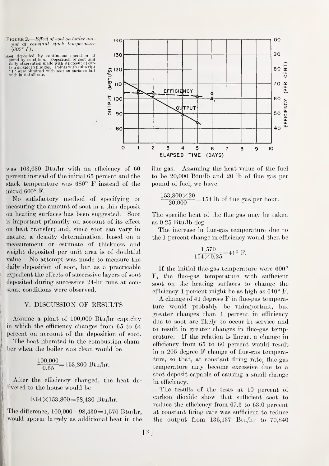Figure 2. Effect of soot on boiler out put at constant stack temperature  $(600^{\circ} F)$ .

Soot deposited by continuous operation at stand-by condition. Deposition of soot and daily observation made with <sup>8</sup> percent of car- bon dioxide in flue gas. Points with subscript "1" were obtained with soot on surfaces but with initial oil rate.<br>
with initial oil rate.<br>  $\frac{10}{2}$  were obtained with soot on surfaces but<br>  $\frac{10}{2}$  UQ



was  $103,630$  Btu/hr with an efficiency of 60 flue gas. percent instead of the initial 65 percent and the stack temperature was 680° F instead of the initial 600° F.

No satisfactory method of specifying or measuring the amount of soot in a thin deposit on heating surfaces has been suggested. Soot is important primarily on account of its effect on heat transfer; and, since soot can vary in nature, a density determination, based on a measurement or estimate of thickness and weight deposited per unit area is of doubtful value. No attempt was made to measure the daily deposition of soot, but as a practicable expedient the effects of successive layers of soot deposited during successive 24-hr runs at constant conditions were observed.

#### V. DISCUSSION OF RESULTS

Assume a plant of 100,000 Btu/hr capacity in which the efficiency changes from 65 to 64 percent on account of the deposition of soot.

The heat liberated in the combustion chamber when the boiler was clean w^ould be

$$
\frac{100,000}{0.65} = 153,800
$$
 Btu/hr.

After the efficiency changed, the heat delivered to the house would be

 $0.64\times153,800 = 98,430$  Btu/hr.

The difference,  $100,000-98,430=1,570$  Btu/hr, would appear largely as additional heat in the

Assuming the heat value of the fuel to be 20,000 Btu/lb and 20 lb of flue gas per pound of fuel, we have

$$
\frac{153,800\times20}{20,000} = 154
$$
 lb of flue gas per hour.

The specific heat of the flue gas may be taken as 0.25 Btu/lb deg.

The increase in flue-gas temperature due to the <sup>1</sup> -percent change in efficiency would then be

$$
\frac{1,570}{154 \times 0.25} = 41^{\circ} \text{ F.}
$$

If the initial flue-gas temperature were 600° F, the flue-gas temperature with sufficient soot on the heating surfaces to change the efficiency <sup>1</sup> percent might be as high as 640° F.

A change of <sup>41</sup> degrees F in flue-gas temperature would probably be unimportant, but greater changes than <sup>1</sup> percent in efficiency due to soot are likely to occur in service and to result in greater changes in flue-gas temperature. If the relation is linear, a change in efficiency from 65 to 60 percent would result in a 205 degree F change of flue-gas temperature, so that, at constant firing rate, flue-gas temperature may become excessive due to <sup>a</sup> soot deposit capable of causing a small change in efficiency.

The results of the tests at 10 percent of carbon dioxide show that sufficient soot to reduce the efficiency from 67.3 to 63.0 percent at constant firmg rate was sufficient to reduce the output from  $136,137$  Btu/hr to  $70,840$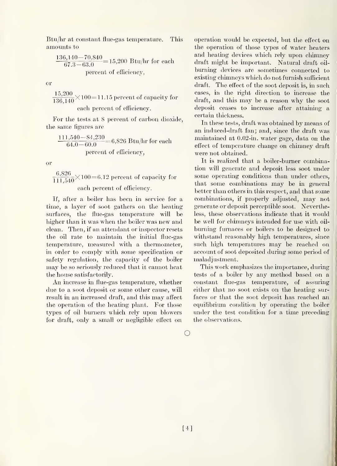Btu/hr at constant flue-gas temperature. This amounts to

$$
\frac{136,140-70,840}{67.3-63.0} = 15,200
$$
 Btu/hr for each  
percent of efficiency,

or

 $\frac{15,200}{136,140}$  $\times$ 100 $=$ 11.15 percent of capacity for each percent of efficiency.

For the tests at 8 percent of carbon dioxide, the same figures are

 $\frac{111,540-84,230}{64.0-60.0}$  = 6,826 Btu/hr for each percent of efficiency,

or

 $\frac{6,826}{111.540} \times 100 = 6.12$  percent of capacity for each percent of efficiency.

If, after a boiler has been in service for a time, a layer of soot gathers on the heating surfaces, the flue-gas temperature will be higher than it was when the boiler was new and clean. Then, if an attendant or inspector resets the oil rate to maintam the initial flue-gas temperature, measured with a thermometer, in order to comply with some specification or safety regulation, the capacity of the boiler may be so seriously reduced that it cannot heat the house satisfactorily.

An increase in flue-gas temperature, whether due to a soot deposit or some other cause, will result in an increased draft, and this may affect the operation of the heating plant. For those types of oil burners which rely upon blowers for draft, only a small or neghgible effect on operation would be expected, but the effect on the operation of those types of water heaters and heating devices which rely upon chimney draft miglit be important. Natural draft oil burning devices are sometimes connected to existing chimneys which do not furnish sufficient draft. The effect of the soot deposit is, in such cases, in the right direction to increase the draft, and this may be <sup>a</sup> reason why the soot deposit ceases to increase after attaining a certain thickness.

In these tests, draft was obtained by means of an induced-draft fan; and, since the draft was maintained at 0.02-in. water gage, data on the effect of temperature change on chimney draft were not obtained.

It is realized that a boiler-burner combination will generate and deposit less soot under some operating conditions than under others, that some combinations may be in general better than others in this respect, and that some combinations, if properly adjusted, may not generate or deposit perceptible soot. Nevertheless, these observations indicate that it would be well for chimneys intended for use with oilburning furnaces or boilers to be designed to withstand reasonably high temperatures, since such high temperatures may be reached on account of soot deposited during some period of maladjustment.

This work emphasizes the importance, during tests of a boiler by any method based on a constant flue-gas temperature, of assurmg either that no soot exists on the heating surfaces or that the soot deposit has reached an equilibrium condition by operating the boiler under the test condition for a time preceding the observations.

o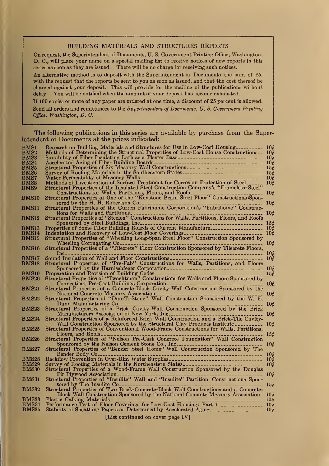#### BUILDING MATERIALS AND STRUCTURES REPORTS

On request, the Superintendent of Documents, U. S. Government Printing Office, Washington, D. C., will place your name on a special mailing list to receive notices of new reports in this series as soon as they are issued. There will be no charge for receiving such notices.

An alternative method is to deposit with the Superintendent of Documents the sum of \$5, with the request that the reports be sent to you as soon as issued, and that the cost thereof be charged against your deposit. This will provide for the mailing of the publications without delay. You will be notified when the amount of your deposit has become exhausted.

If 100 copies or more of any paper are ordered at one time, a discount of 25 percent is allowed. Send all orders and remittances to the Superintendent of Documents, U.S. Government Printing Office, Washington, D. C.

The following publications in this series are available by purchase from the Superintendent of Documents at the prices indicated:

| BMS1             |                                                                                                                                                                                                                                |                 |
|------------------|--------------------------------------------------------------------------------------------------------------------------------------------------------------------------------------------------------------------------------|-----------------|
| BMS <sub>2</sub> | Methods of Determining the Structural Properties of Low-Cost House Constructions. 10 $\ell$                                                                                                                                    |                 |
| BMS3             |                                                                                                                                                                                                                                |                 |
| BMS4             |                                                                                                                                                                                                                                |                 |
| BMS5             |                                                                                                                                                                                                                                |                 |
| $_{\rm BMS6}$    |                                                                                                                                                                                                                                |                 |
| $_{\rm BMS7}$    |                                                                                                                                                                                                                                |                 |
| <b>BMS8</b>      | Methods of Investigation of Surface Treatment for Corrosion Protection of Steel                                                                                                                                                |                 |
| BMS9             | Structural Properties of the Insulated Steel Construction Company's "Frameless-Steel"                                                                                                                                          |                 |
|                  |                                                                                                                                                                                                                                |                 |
| BMS10            |                                                                                                                                                                                                                                |                 |
|                  | ----------------- 10¢                                                                                                                                                                                                          |                 |
| BMS11            | sored by the H. H. Robertson Construction of the Current Paperbone Corporation's "Fabrihome" Constructural Properties of the Current Fabrihome Corporation's "Fabrihome" Construc-                                             |                 |
|                  | tions for Walls and Partitions<br>------------------- 10¢                                                                                                                                                                      |                 |
| <b>BMS12</b>     | tions for Walls and Partitions<br>Structural Propertics of "Steelox" Constructions for Walls, Partitions, Floors, and Roofs                                                                                                    |                 |
|                  |                                                                                                                                                                                                                                |                 |
| <b>BMS13</b>     |                                                                                                                                                                                                                                |                 |
| $\mathrm{BMS}14$ |                                                                                                                                                                                                                                |                 |
| BMS15            | Indentation and Recovery of Low-Cost Floor Coverings<br>Structural Properties of "Wheeling Long-Span Steel Floor" Construction Sponsored by                                                                                    |                 |
|                  |                                                                                                                                                                                                                                |                 |
| BMS16            | Wheeling Corrugating Corrugation Corresponding Corrugation of Structural Properties of a "Tilecrete" Floor Construction Sponsored by Tilecrete Floors,                                                                         |                 |
|                  | $Inc_{-----}$                                                                                                                                                                                                                  |                 |
| BMS17            |                                                                                                                                                                                                                                | 10 <sub>0</sub> |
| <b>BMS18</b>     | Structural Properties of "Pre-Fab" Constructions for Walls, Partitions, and Floors                                                                                                                                             |                 |
|                  |                                                                                                                                                                                                                                |                 |
| <b>BMS19</b>     |                                                                                                                                                                                                                                | 15c             |
| <b>BMS20</b>     |                                                                                                                                                                                                                                |                 |
|                  |                                                                                                                                                                                                                                | 10 <sub>c</sub> |
| <b>BMS21</b>     | Structural Properties of "Twachtman" Constructions for Walls and Floors Sponsored by<br>Connecticut Pre-Cast Buildings Corporation<br>Structural, Properties of a Concrete-Block Cavity-Wall Construction Sponsored by the     |                 |
|                  |                                                                                                                                                                                                                                |                 |
| $_{\rm BMS22}$   |                                                                                                                                                                                                                                | 10 <sub>c</sub> |
|                  | Dunn Manufacturing Connectional Construction of the Connection of the Connection of the Connection of the Connection of the Connection of the Connection of the Connection of the Connection of the Connection of the Connecti | $10\epsilon$    |
| <b>BMS23</b>     | Structural Properties of a Brick Cavity-Wall Construction Sponsored by the Brick                                                                                                                                               |                 |
|                  |                                                                                                                                                                                                                                |                 |
| <b>BMS24</b>     | Structural Properties of a Reinforced-Brick Wall Construction and a Brick-Tile Cavity-                                                                                                                                         |                 |
|                  | Wall Construction Sponsored by the Structural Clay Products Institute                                                                                                                                                          | 10 <sub>c</sub> |
| <b>BMS25</b>     |                                                                                                                                                                                                                                |                 |
|                  | Structural Properties of Conventional Wood-Frame Constructions for Walls, Partitions, Floors, and Roofs.                                                                                                                       | 15 <sub>c</sub> |
| <b>BMS26</b>     | Structural Properties of "Nelson Pre-Cast Concrete Foundation" Wall Construction                                                                                                                                               |                 |
|                  | Sponsored by the Nelson Cement Stone Co., Inc                                                                                                                                                                                  | 10c             |
| <b>BMS27</b>     | Structural Properties of "Bender Steel Home" Wall Construction Sponsored by The                                                                                                                                                |                 |
|                  |                                                                                                                                                                                                                                |                 |
| <b>BMS28</b>     | Backflow Prevention in Over-Rim Water Supplies                                                                                                                                                                                 |                 |
| <b>BMS29</b>     | Survey of Roofing Materials in the Northeastern States                                                                                                                                                                         | 10 <sub>t</sub> |
| <b>BMS30</b>     | Structural Properties of a Wood-Frame Wall Construction Sponsored by the Douglas                                                                                                                                               |                 |
|                  |                                                                                                                                                                                                                                | 10 <sub>c</sub> |
| <b>BMS31</b>     |                                                                                                                                                                                                                                |                 |
|                  | sored by The Insulite Co.                                                                                                                                                                                                      |                 |
| <b>BMS32</b>     | .<br>Structural Properties of Two Brick-Concrete-Block Wall Constructions and a Concrete-                                                                                                                                      | 156             |
|                  | Block Wall Construction Sponsored by the National Concrete Masonry Association. $10\rlap{/}{\ell}$                                                                                                                             |                 |
| BMS33            | Plastic Calking Materials                                                                                                                                                                                                      |                 |
| BMS34            | -------------------- 10¢                                                                                                                                                                                                       |                 |
| <b>BMS35</b>     | Performance Test of Floor Coverings for Low-Cost Housing: Part 1                                                                                                                                                               |                 |
|                  |                                                                                                                                                                                                                                |                 |

[List continued on cover page IV]